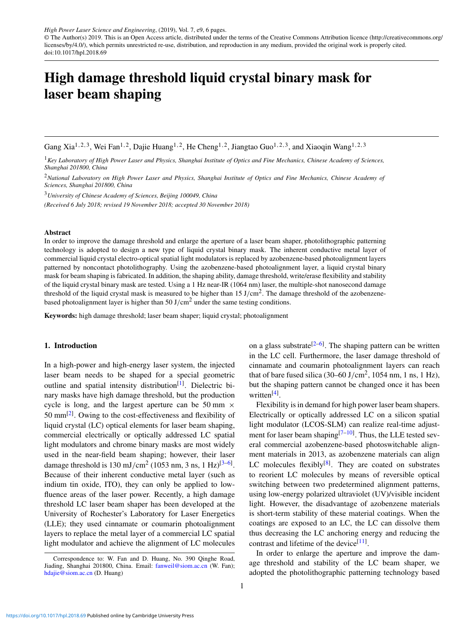© The Author(s) 2019. This is an Open Access article, distributed under the terms of the Creative Commons Attribution licence [\(http://creativecommons.org/](http://creativecommons.org/licenses/by/4.0/) [licenses/by/4.0/\)](http://creativecommons.org/licenses/by/4.0/), which permits unrestricted re-use, distribution, and reproduction in any medium, provided the original work is properly cited. doi:10.1017/hpl.2018.69

# High damage threshold liquid crystal binary mask for laser beam shaping

Gang Xia<sup>1,2,3</sup>, Wei Fan<sup>1,2</sup>, Dajie Huang<sup>1,2</sup>, He Cheng<sup>1,2</sup>, Jiangtao Guo<sup>1,2,3</sup>, and Xiaoqin Wang<sup>1,2,3</sup>

<sup>1</sup>*Key Laboratory of High Power Laser and Physics, Shanghai Institute of Optics and Fine Mechanics, Chinese Academy of Sciences, Shanghai 201800, China*

<sup>2</sup>*National Laboratory on High Power Laser and Physics, Shanghai Institute of Optics and Fine Mechanics, Chinese Academy of Sciences, Shanghai 201800, China*

<sup>3</sup>*University of Chinese Academy of Sciences, Beijing 100049, China (Received 6 July 2018; revised 19 November 2018; accepted 30 November 2018)*

## Abstract

In order to improve the damage threshold and enlarge the aperture of a laser beam shaper, photolithographic patterning technology is adopted to design a new type of liquid crystal binary mask. The inherent conductive metal layer of commercial liquid crystal electro-optical spatial light modulators is replaced by azobenzene-based photoalignment layers patterned by noncontact photolithography. Using the azobenzene-based photoalignment layer, a liquid crystal binary mask for beam shaping is fabricated. In addition, the shaping ability, damage threshold, write/erase flexibility and stability of the liquid crystal binary mask are tested. Using a 1 Hz near-IR (1064 nm) laser, the multiple-shot nanosecond damage threshold of the liquid crystal mask is measured to be higher than  $15 \text{ J/cm}^2$ . The damage threshold of the azobenzenebased photoalignment layer is higher than  $50 \text{ J/cm}^2$  under the same testing conditions.

Keywords: high damage threshold; laser beam shaper; liquid crystal; photoalignment

# 1. Introduction

In a high-power and high-energy laser system, the injected laser beam needs to be shaped for a special geometric outline and spatial intensity distribution<sup>[\[1\]](#page-5-0)</sup>. Dielectric binary masks have high damage threshold, but the production cycle is long, and the largest aperture can be 50 mm  $\times$ 50 mm<sup>[\[2\]](#page-5-1)</sup>. Owing to the cost-effectiveness and flexibility of liquid crystal (LC) optical elements for laser beam shaping, commercial electrically or optically addressed LC spatial light modulators and chrome binary masks are most widely used in the near-field beam shaping; however, their laser damage threshold is 130 mJ/cm<sup>2</sup> (1053 nm, 3 ns, 1 Hz)<sup>[\[3–](#page-5-2)[6\]](#page-5-3)</sup>. Because of their inherent conductive metal layer (such as indium tin oxide, ITO), they can only be applied to lowfluence areas of the laser power. Recently, a high damage threshold LC laser beam shaper has been developed at the University of Rochester's Laboratory for Laser Energetics (LLE); they used cinnamate or coumarin photoalignment layers to replace the metal layer of a commercial LC spatial light modulator and achieve the alignment of LC molecules

on a glass substrate<sup>[\[2](#page-5-1)[–6\]](#page-5-3)</sup>. The shaping pattern can be written in the LC cell. Furthermore, the laser damage threshold of cinnamate and coumarin photoalignment layers can reach that of bare fused silica (30–60 J/cm<sup>2</sup>, 1054 nm, 1 ns, 1 Hz), but the shaping pattern cannot be changed once it has been written<sup>[\[4\]](#page-5-4)</sup>.

Flexibility is in demand for high power laser beam shapers. Electrically or optically addressed LC on a silicon spatial light modulator (LCOS-SLM) can realize real-time adjustment for laser beam shaping $[7-10]$  $[7-10]$ . Thus, the LLE tested several commercial azobenzene-based photoswitchable alignment materials in 2013, as azobenzene materials can align LC molecules flexibly $[8]$ . They are coated on substrates to reorient LC molecules by means of reversible optical switching between two predetermined alignment patterns, using low-energy polarized ultraviolet (UV)/visible incident light. However, the disadvantage of azobenzene materials is short-term stability of these material coatings. When the coatings are exposed to an LC, the LC can dissolve them thus decreasing the LC anchoring energy and reducing the contrast and lifetime of the device<sup>[\[11\]](#page-5-8)</sup>.

In order to enlarge the aperture and improve the damage threshold and stability of the LC beam shaper, we adopted the photolithographic patterning technology based

Correspondence to: W. Fan and D. Huang, No. 390 Qinghe Road, Jiading, Shanghai 201800, China. Email: [fanweil@siom.ac.cn](mailto:fanweil@siom.ac.cn) (W. Fan); [hdajie@siom.ac.cn](mailto:hdajie@siom.ac.cn) (D. Huang)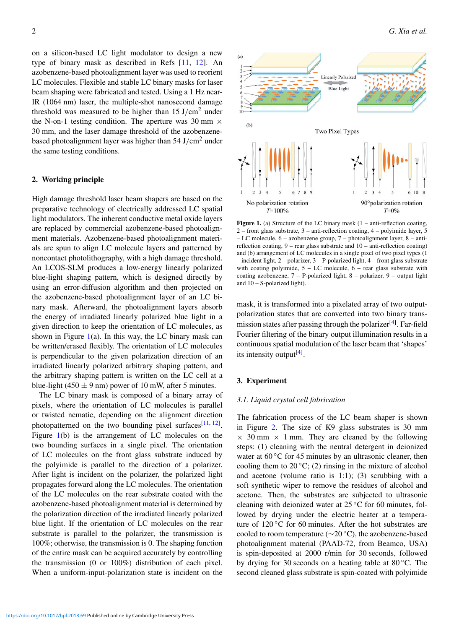on a silicon-based LC light modulator to design a new type of binary mask as described in Refs [\[11,](#page-5-8) [12\]](#page-5-9). An azobenzene-based photoalignment layer was used to reorient LC molecules. Flexible and stable LC binary masks for laser beam shaping were fabricated and tested. Using a 1 Hz near-IR (1064 nm) laser, the multiple-shot nanosecond damage threshold was measured to be higher than  $15 \text{ J/cm}^2$  under the N-on-1 testing condition. The aperture was 30 mm  $\times$ 30 mm, and the laser damage threshold of the azobenzenebased photoalignment layer was higher than  $54 \text{ J/cm}^2$  under the same testing conditions.

# 2. Working principle

High damage threshold laser beam shapers are based on the preparative technology of electrically addressed LC spatial light modulators. The inherent conductive metal oxide layers are replaced by commercial azobenzene-based photoalignment materials. Azobenzene-based photoalignment materials are spun to align LC molecule layers and patterned by noncontact photolithography, with a high damage threshold. An LCOS-SLM produces a low-energy linearly polarized blue-light shaping pattern, which is designed directly by using an error-diffusion algorithm and then projected on the azobenzene-based photoalignment layer of an LC binary mask. Afterward, the photoalignment layers absorb the energy of irradiated linearly polarized blue light in a given direction to keep the orientation of LC molecules, as shown in Figure  $1(a)$  $1(a)$ . In this way, the LC binary mask can be written/erased flexibly. The orientation of LC molecules is perpendicular to the given polarization direction of an irradiated linearly polarized arbitrary shaping pattern, and the arbitrary shaping pattern is written on the LC cell at a blue-light (450  $\pm$  9 nm) power of 10 mW, after 5 minutes.

The LC binary mask is composed of a binary array of pixels, where the orientation of LC molecules is parallel or twisted nematic, depending on the alignment direction photopatterned on the two bounding pixel surfaces  $[11, 12]$  $[11, 12]$  $[11, 12]$ . Figure [1\(](#page-1-0)b) is the arrangement of LC molecules on the two bounding surfaces in a single pixel. The orientation of LC molecules on the front glass substrate induced by the polyimide is parallel to the direction of a polarizer. After light is incident on the polarizer, the polarized light propagates forward along the LC molecules. The orientation of the LC molecules on the rear substrate coated with the azobenzene-based photoalignment material is determined by the polarization direction of the irradiated linearly polarized blue light. If the orientation of LC molecules on the rear substrate is parallel to the polarizer, the transmission is 100%; otherwise, the transmission is 0. The shaping function of the entire mask can be acquired accurately by controlling the transmission (0 or 100%) distribution of each pixel. When a uniform-input-polarization state is incident on the

<span id="page-1-0"></span>

**Figure 1.** (a) Structure of the LC binary mask  $(1 - anti)$ -reflection coating, 2 – front glass substrate, 3 – anti-reflection coating, 4 – polyimide layer, 5 – LC molecule, 6 – azobenzene group, 7 – photoalignment layer, 8 – antireflection coating, 9 – rear glass substrate and 10 – anti-reflection coating) and (b) arrangement of LC molecules in a single pixel of two pixel types (1 – incident light, 2 – polarizer, 3 – P-polarized light, 4 – front glass substrate with coating polyimide,  $5 - LC$  molecule,  $6 - rear$  glass substrate with coating azobenzene, 7 – P-polarized light, 8 – polarizer, 9 – output light and 10 – S-polarized light).

mask, it is transformed into a pixelated array of two outputpolarization states that are converted into two binary trans-mission states after passing through the polarizer<sup>[\[4\]](#page-5-4)</sup>. Far-field Fourier filtering of the binary output illumination results in a continuous spatial modulation of the laser beam that 'shapes' its intensity output<sup>[\[4\]](#page-5-4)</sup>.

#### 3. Experiment

#### *3.1. Liquid crystal cell fabrication*

The fabrication process of the LC beam shaper is shown in Figure [2.](#page-2-0) The size of K9 glass substrates is 30 mm  $\times$  30 mm  $\times$  1 mm. They are cleaned by the following steps: (1) cleaning with the neutral detergent in deionized water at  $60^{\circ}$ C for 45 minutes by an ultrasonic cleaner, then cooling them to  $20^{\circ}$ C; (2) rinsing in the mixture of alcohol and acetone (volume ratio is 1:1); (3) scrubbing with a soft synthetic wiper to remove the residues of alcohol and acetone. Then, the substrates are subjected to ultrasonic cleaning with deionized water at  $25^{\circ}$ C for 60 minutes, followed by drying under the electric heater at a temperature of 120 °C for 60 minutes. After the hot substrates are cooled to room temperature (∼20 ◦C), the azobenzene-based photoalignment material (PAAD-72, from Beamco, USA) is spin-deposited at 2000 r/min for 30 seconds, followed by drying for 30 seconds on a heating table at 80 ◦C. The second cleaned glass substrate is spin-coated with polyimide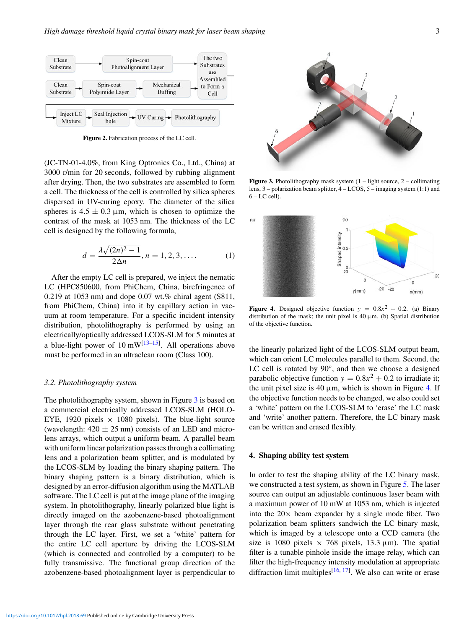<span id="page-2-0"></span>

Figure 2. Fabrication process of the LC cell.

(JC-TN-01-4.0%, from King Optronics Co., Ltd., China) at 3000 r/min for 20 seconds, followed by rubbing alignment after drying. Then, the two substrates are assembled to form a cell. The thickness of the cell is controlled by silica spheres dispersed in UV-curing epoxy. The diameter of the silica spheres is  $4.5 \pm 0.3 \,\mu$ m, which is chosen to optimize the contrast of the mask at 1053 nm. The thickness of the LC cell is designed by the following formula,

$$
d = \frac{\lambda \sqrt{(2n)^2 - 1}}{2\Delta n}, n = 1, 2, 3, .... \tag{1}
$$

After the empty LC cell is prepared, we inject the nematic LC (HPC850600, from PhiChem, China, birefringence of 0.219 at 1053 nm) and dope 0.07 wt.% chiral agent (S811, from PhiChem, China) into it by capillary action in vacuum at room temperature. For a specific incident intensity distribution, photolithography is performed by using an electrically/optically addressed LCOS-SLM for 5 minutes at a blue-light power of 10  $mW^{[13-15]}$  $mW^{[13-15]}$  $mW^{[13-15]}$ . All operations above must be performed in an ultraclean room (Class 100).

# *3.2. Photolithography system*

The photolithography system, shown in Figure [3](#page-2-1) is based on a commercial electrically addressed LCOS-SLM (HOLO-EYE, 1920 pixels  $\times$  1080 pixels). The blue-light source (wavelength:  $420 \pm 25$  nm) consists of an LED and microlens arrays, which output a uniform beam. A parallel beam with uniform linear polarization passes through a collimating lens and a polarization beam splitter, and is modulated by the LCOS-SLM by loading the binary shaping pattern. The binary shaping pattern is a binary distribution, which is designed by an error-diffusion algorithm using the MATLAB software. The LC cell is put at the image plane of the imaging system. In photolithography, linearly polarized blue light is directly imaged on the azobenzene-based photoalignment layer through the rear glass substrate without penetrating through the LC layer. First, we set a 'white' pattern for the entire LC cell aperture by driving the LCOS-SLM (which is connected and controlled by a computer) to be fully transmissive. The functional group direction of the azobenzene-based photoalignment layer is perpendicular to

<span id="page-2-1"></span>

**Figure 3.** Photolithography mask system  $(1 - light source, 2 - collimating)$ lens, 3 – polarization beam splitter, 4 – LCOS, 5 – imaging system (1:1) and  $6 - LC$  cell).

<span id="page-2-2"></span>

**Figure 4.** Designed objective function  $y = 0.8x^2 + 0.2$ . (a) Binary distribution of the mask; the unit pixel is  $40 \mu m$ . (b) Spatial distribution of the objective function.

the linearly polarized light of the LCOS-SLM output beam, which can orient LC molecules parallel to them. Second, the LC cell is rotated by 90°, and then we choose a designed parabolic objective function  $y = 0.8x^2 + 0.2$  to irradiate it; the unit pixel size is 40  $\mu$ m, which is shown in Figure [4.](#page-2-2) If the objective function needs to be changed, we also could set a 'white' pattern on the LCOS-SLM to 'erase' the LC mask and 'write' another pattern. Therefore, the LC binary mask can be written and erased flexibly.

# 4. Shaping ability test system

In order to test the shaping ability of the LC binary mask, we constructed a test system, as shown in Figure [5.](#page-3-0) The laser source can output an adjustable continuous laser beam with a maximum power of 10 mW at 1053 nm, which is injected into the  $20 \times$  beam expander by a single mode fiber. Two polarization beam splitters sandwich the LC binary mask, which is imaged by a telescope onto a CCD camera (the size is 1080 pixels  $\times$  768 pixels, 13.3  $\mu$ m). The spatial filter is a tunable pinhole inside the image relay, which can filter the high-frequency intensity modulation at appropriate diffraction limit multiples<sup>[\[16,](#page-5-12) [17\]](#page-5-13)</sup>. We also can write or erase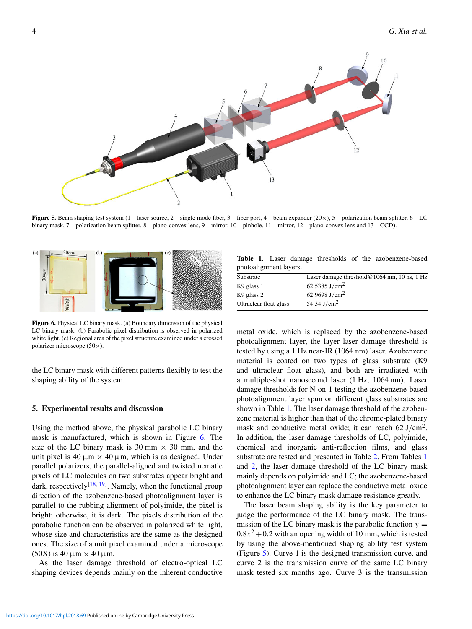<span id="page-3-0"></span>

Figure 5. Beam shaping test system  $(1 - \text{ laser source}, 2 - \text{single mode fiber}, 3 - \text{fiber port}, 4 - \text{beam expander } (20 \times), 5 - \text{polarization beam splitter}, 6 - \text{LC}$ binary mask, 7 – polarization beam splitter, 8 – plano-convex lens, 9 – mirror, 10 – pinhole, 11 – mirror, 12 – plano-convex lens and 13 – CCD).

<span id="page-3-1"></span>

Figure 6. Physical LC binary mask. (a) Boundary dimension of the physical LC binary mask. (b) Parabolic pixel distribution is observed in polarized white light. (c) Regional area of the pixel structure examined under a crossed polarizer microscope (50×).

the LC binary mask with different patterns flexibly to test the shaping ability of the system.

## 5. Experimental results and discussion

Using the method above, the physical parabolic LC binary mask is manufactured, which is shown in Figure [6.](#page-3-1) The size of the LC binary mask is 30 mm  $\times$  30 mm, and the unit pixel is 40  $\mu$ m  $\times$  40  $\mu$ m, which is as designed. Under parallel polarizers, the parallel-aligned and twisted nematic pixels of LC molecules on two substrates appear bright and dark, respectively<sup>[\[18,](#page-5-14) [19\]](#page-5-15)</sup>. Namely, when the functional group direction of the azobenzene-based photoalignment layer is parallel to the rubbing alignment of polyimide, the pixel is bright; otherwise, it is dark. The pixels distribution of the parabolic function can be observed in polarized white light, whose size and characteristics are the same as the designed ones. The size of a unit pixel examined under a microscope  $(50X)$  is 40  $\mu$ m  $\times$  40  $\mu$ m.

As the laser damage threshold of electro-optical LC shaping devices depends mainly on the inherent conductive

<span id="page-3-2"></span>Table 1. Laser damage thresholds of the azobenzene-based photoalignment layers.

| Substrate              | Laser damage threshold $@1064$ nm, 10 ns, 1 Hz |
|------------------------|------------------------------------------------|
| K9 glass 1             | 62.5385 J/cm <sup>2</sup>                      |
| K9 glass 2             | 62.9698 J/cm <sup>2</sup>                      |
| Ultraclear float glass | 54.34 J/cm <sup>2</sup>                        |

metal oxide, which is replaced by the azobenzene-based photoalignment layer, the layer laser damage threshold is tested by using a 1 Hz near-IR (1064 nm) laser. Azobenzene material is coated on two types of glass substrate (K9 and ultraclear float glass), and both are irradiated with a multiple-shot nanosecond laser (1 Hz, 1064 nm). Laser damage thresholds for N-on-1 testing the azobenzene-based photoalignment layer spun on different glass substrates are shown in Table [1.](#page-3-2) The laser damage threshold of the azobenzene material is higher than that of the chrome-plated binary mask and conductive metal oxide; it can reach  $62 \text{ J/cm}^2$ . In addition, the laser damage thresholds of LC, polyimide, chemical and inorganic anti-reflection films, and glass substrate are tested and presented in Table [2.](#page-4-0) From Tables [1](#page-3-2) and [2,](#page-4-0) the laser damage threshold of the LC binary mask mainly depends on polyimide and LC; the azobenzene-based photoalignment layer can replace the conductive metal oxide to enhance the LC binary mask damage resistance greatly.

The laser beam shaping ability is the key parameter to judge the performance of the LC binary mask. The transmission of the LC binary mask is the parabolic function  $y =$  $0.8x<sup>2</sup> + 0.2$  with an opening width of 10 mm, which is tested by using the above-mentioned shaping ability test system (Figure [5\)](#page-3-0). Curve 1 is the designed transmission curve, and curve 2 is the transmission curve of the same LC binary mask tested six months ago. Curve 3 is the transmission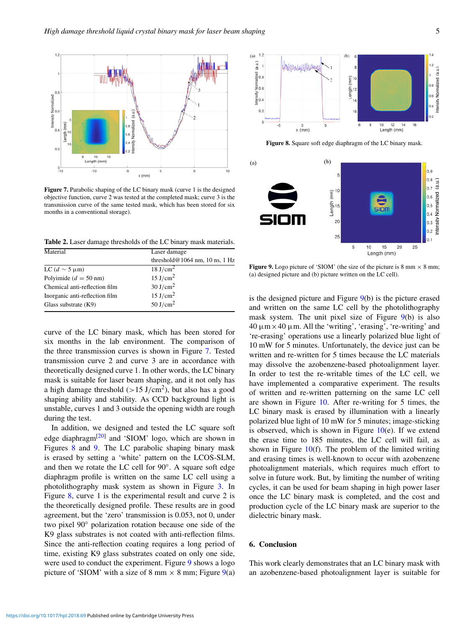<span id="page-4-1"></span>

Figure 7. Parabolic shaping of the LC binary mask (curve 1 is the designed objective function, curve 2 was tested at the completed mask; curve 3 is the transmission curve of the same tested mask, which has been stored for six months in a conventional storage).

<span id="page-4-0"></span>Table 2. Laser damage thresholds of the LC binary mask materials.

| Material                             | Laser damage                      |
|--------------------------------------|-----------------------------------|
|                                      | threshold $@1064$ nm, 10 ns, 1 Hz |
| LC ( $d \sim 5 \,\mathrm{\upmu m}$ ) | 18 J/cm <sup>2</sup>              |
| Polyimide ( $d = 50$ nm)             | 15 J/cm <sup>2</sup>              |
| Chemical anti-reflection film        | 30 J/cm <sup>2</sup>              |
| Inorganic anti-reflection film       | 15 J/cm <sup>2</sup>              |
| Glass substrate $(K9)$               | 50 J/cm <sup>2</sup>              |

curve of the LC binary mask, which has been stored for six months in the lab environment. The comparison of the three transmission curves is shown in Figure [7.](#page-4-1) Tested transmission curve 2 and curve 3 are in accordance with theoretically designed curve 1. In other words, the LC binary mask is suitable for laser beam shaping, and it not only has a high damage threshold  $(>15 \text{ J/cm}^2)$ , but also has a good shaping ability and stability. As CCD background light is unstable, curves 1 and 3 outside the opening width are rough during the test.

In addition, we designed and tested the LC square soft edge diaphragm<sup>[\[20\]](#page-5-16)</sup> and 'SIOM' logo, which are shown in Figures [8](#page-4-2) and [9.](#page-4-3) The LC parabolic shaping binary mask is erased by setting a 'white' pattern on the LCOS-SLM, and then we rotate the LC cell for 90◦ . A square soft edge diaphragm profile is written on the same LC cell using a photolithography mask system as shown in Figure [3.](#page-2-1) In Figure [8,](#page-4-2) curve 1 is the experimental result and curve 2 is the theoretically designed profile. These results are in good agreement, but the 'zero' transmission is 0.053, not 0, under two pixel 90◦ polarization rotation because one side of the K9 glass substrates is not coated with anti-reflection films. Since the anti-reflection coating requires a long period of time, existing K9 glass substrates coated on only one side, were used to conduct the experiment. Figure [9](#page-4-3) shows a logo picture of 'SIOM' with a size of 8 mm  $\times$  8 mm; Figure [9\(](#page-4-3)a)

<span id="page-4-2"></span>

Figure 8. Square soft edge diaphragm of the LC binary mask.

<span id="page-4-3"></span>

Figure 9. Logo picture of 'SIOM' (the size of the picture is 8 mm  $\times$  8 mm; (a) designed picture and (b) picture written on the LC cell).

is the designed picture and Figure [9\(](#page-4-3)b) is the picture erased and written on the same LC cell by the photolithography mask system. The unit pixel size of Figure  $9(b)$  $9(b)$  is also  $40 \mu m \times 40 \mu m$ . All the 'writing', 'erasing', 're-writing' and 're-erasing' operations use a linearly polarized blue light of 10 mW for 5 minutes. Unfortunately, the device just can be written and re-written for 5 times because the LC materials may dissolve the azobenzene-based photoalignment layer. In order to test the re-writable times of the LC cell, we have implemented a comparative experiment. The results of written and re-written patterning on the same LC cell are shown in Figure [10.](#page-5-17) After re-writing for 5 times, the LC binary mask is erased by illumination with a linearly polarized blue light of 10 mW for 5 minutes; image-sticking is observed, which is shown in Figure  $10(e)$  $10(e)$ . If we extend the erase time to 185 minutes, the LC cell will fail, as shown in Figure  $10(f)$  $10(f)$ . The problem of the limited writing and erasing times is well-known to occur with azobenzene photoalignment materials, which requires much effort to solve in future work. But, by limiting the number of writing cycles, it can be used for beam shaping in high power laser once the LC binary mask is completed, and the cost and production cycle of the LC binary mask are superior to the dielectric binary mask.

## 6. Conclusion

This work clearly demonstrates that an LC binary mask with an azobenzene-based photoalignment layer is suitable for